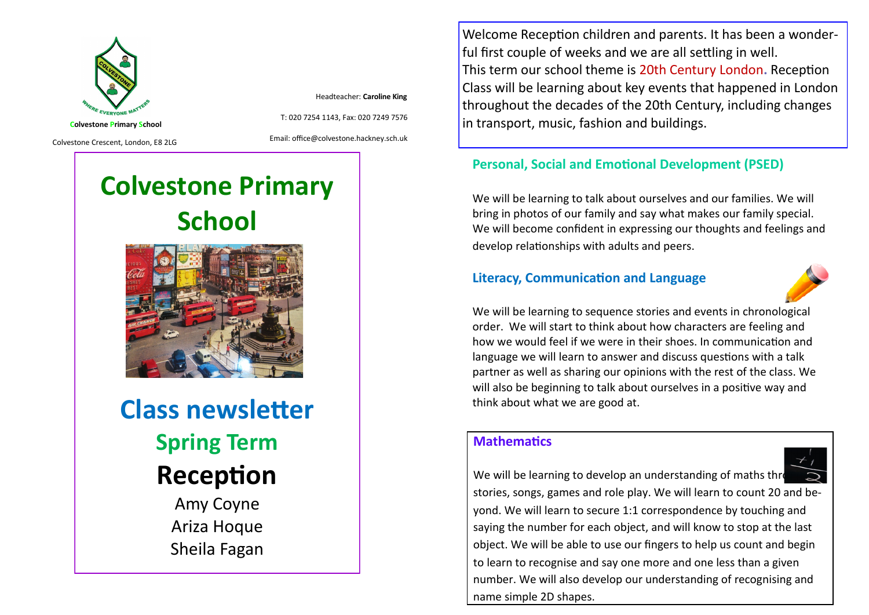

Headteacher: **Caroline King**

Colvestone Crescent, London, E8 2LG

Email: office@colvestone.hackney.sch.uk

T: 020 7254 1143, Fax: 020 7249 7576

# **Colvestone Primary School**



**Class newsletter Spring Term Reception** Amy Coyne

Ariza Hoque Sheila Fagan

Welcome Reception children and parents. It has been a wonderful first couple of weeks and we are all settling in well. This term our school theme is 20th Century London**.** Reception Class will be learning about key events that happened in London throughout the decades of the 20th Century, including changes in transport, music, fashion and buildings.

#### **Personal, Social and Emotional Development (PSED)**

We will be learning to talk about ourselves and our families. We will bring in photos of our family and say what makes our family special. We will become confident in expressing our thoughts and feelings and develop relationships with adults and peers.

#### **Literacy, Communication and Language**



We will be learning to sequence stories and events in chronological order. We will start to think about how characters are feeling and how we would feel if we were in their shoes. In communication and language we will learn to answer and discuss questions with a talk partner as well as sharing our opinions with the rest of the class. We will also be beginning to talk about ourselves in a positive way and think about what we are good at.

## **Mathematics**



to learn to recognise and say one more and one less than a given number. We will also develop our understanding of recognising and name simple 2D shapes.